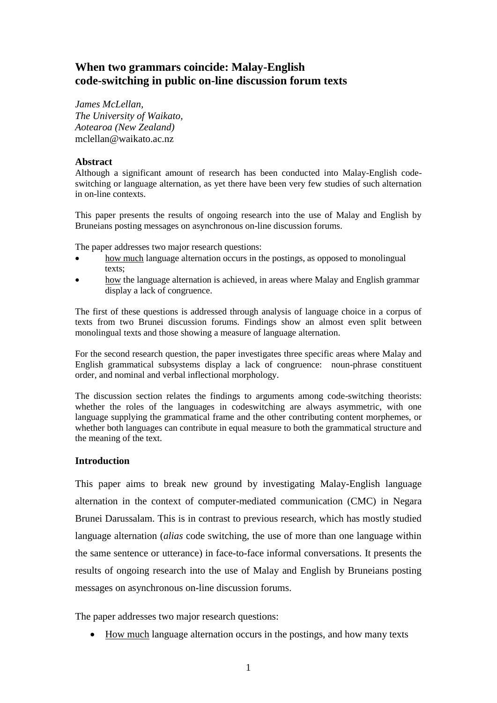# **When two grammars coincide: Malay-English code-switching in public on-line discussion forum texts**

*James McLellan, The University of Waikato, Aotearoa (New Zealand)* mclellan@waikato.ac.nz

# **Abstract**

Although a significant amount of research has been conducted into Malay-English codeswitching or language alternation, as yet there have been very few studies of such alternation in on-line contexts.

This paper presents the results of ongoing research into the use of Malay and English by Bruneians posting messages on asynchronous on-line discussion forums.

The paper addresses two major research questions:

- how much language alternation occurs in the postings, as opposed to monolingual texts;
- how the language alternation is achieved, in areas where Malay and English grammar display a lack of congruence.

The first of these questions is addressed through analysis of language choice in a corpus of texts from two Brunei discussion forums. Findings show an almost even split between monolingual texts and those showing a measure of language alternation.

For the second research question, the paper investigates three specific areas where Malay and English grammatical subsystems display a lack of congruence: noun-phrase constituent order, and nominal and verbal inflectional morphology.

The discussion section relates the findings to arguments among code-switching theorists: whether the roles of the languages in codeswitching are always asymmetric, with one language supplying the grammatical frame and the other contributing content morphemes, or whether both languages can contribute in equal measure to both the grammatical structure and the meaning of the text.

### **Introduction**

This paper aims to break new ground by investigating Malay-English language alternation in the context of computer-mediated communication (CMC) in Negara Brunei Darussalam. This is in contrast to previous research, which has mostly studied language alternation (*alias* code switching, the use of more than one language within the same sentence or utterance) in face-to-face informal conversations. It presents the results of ongoing research into the use of Malay and English by Bruneians posting messages on asynchronous on-line discussion forums.

The paper addresses two major research questions:

How much language alternation occurs in the postings, and how many texts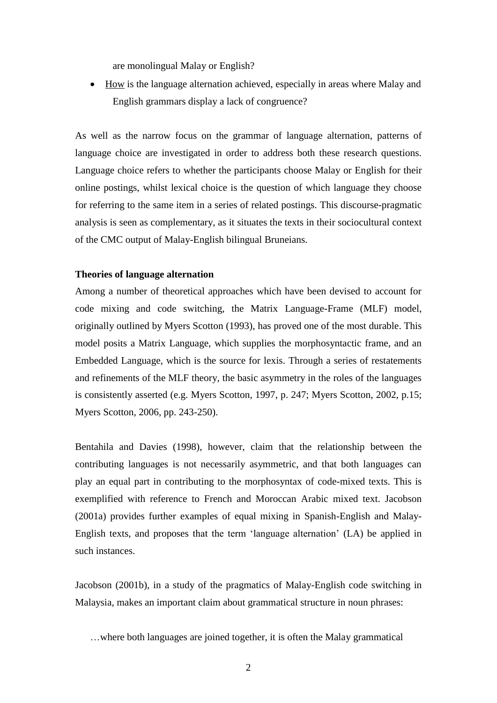are monolingual Malay or English?

 How is the language alternation achieved, especially in areas where Malay and English grammars display a lack of congruence?

As well as the narrow focus on the grammar of language alternation, patterns of language choice are investigated in order to address both these research questions. Language choice refers to whether the participants choose Malay or English for their online postings, whilst lexical choice is the question of which language they choose for referring to the same item in a series of related postings. This discourse-pragmatic analysis is seen as complementary, as it situates the texts in their sociocultural context of the CMC output of Malay-English bilingual Bruneians.

### **Theories of language alternation**

Among a number of theoretical approaches which have been devised to account for code mixing and code switching, the Matrix Language-Frame (MLF) model, originally outlined by Myers Scotton (1993), has proved one of the most durable. This model posits a Matrix Language, which supplies the morphosyntactic frame, and an Embedded Language, which is the source for lexis. Through a series of restatements and refinements of the MLF theory, the basic asymmetry in the roles of the languages is consistently asserted (e.g. Myers Scotton, 1997, p. 247; Myers Scotton, 2002, p.15; Myers Scotton, 2006, pp. 243-250).

Bentahila and Davies (1998), however, claim that the relationship between the contributing languages is not necessarily asymmetric, and that both languages can play an equal part in contributing to the morphosyntax of code-mixed texts. This is exemplified with reference to French and Moroccan Arabic mixed text. Jacobson (2001a) provides further examples of equal mixing in Spanish-English and Malay-English texts, and proposes that the term 'language alternation' (LA) be applied in such instances.

Jacobson (2001b), in a study of the pragmatics of Malay-English code switching in Malaysia, makes an important claim about grammatical structure in noun phrases:

 <sup>…</sup>where both languages are joined together, it is often the Malay grammatical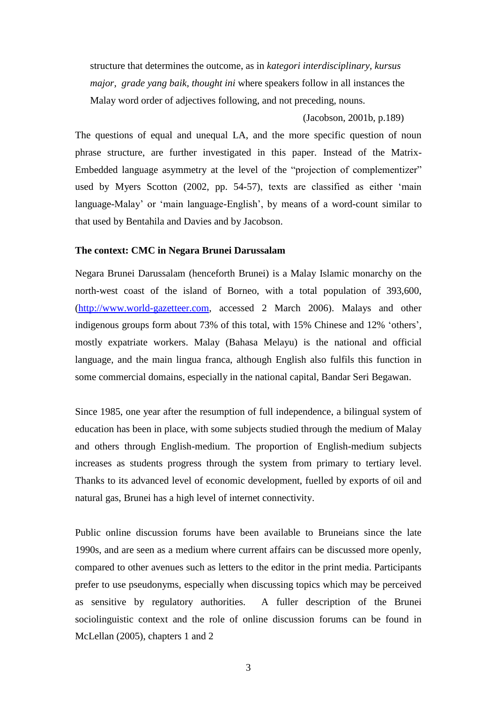structure that determines the outcome, as in *kategori interdisciplinary, kursus major, grade yang baik, thought ini* where speakers follow in all instances the Malay word order of adjectives following, and not preceding, nouns.

(Jacobson, 2001b, p.189)

The questions of equal and unequal LA, and the more specific question of noun phrase structure, are further investigated in this paper. Instead of the Matrix-Embedded language asymmetry at the level of the "projection of complementizer" used by Myers Scotton (2002, pp. 54-57), texts are classified as either 'main language-Malay' or 'main language-English', by means of a word-count similar to that used by Bentahila and Davies and by Jacobson.

#### **The context: CMC in Negara Brunei Darussalam**

Negara Brunei Darussalam (henceforth Brunei) is a Malay Islamic monarchy on the north-west coast of the island of Borneo, with a total population of 393,600, [\(http://www.world-gazetteer.com,](http://www.world-gazetteer.com/) accessed 2 March 2006). Malays and other indigenous groups form about 73% of this total, with 15% Chinese and 12% 'others', mostly expatriate workers. Malay (Bahasa Melayu) is the national and official language, and the main lingua franca, although English also fulfils this function in some commercial domains, especially in the national capital, Bandar Seri Begawan.

Since 1985, one year after the resumption of full independence, a bilingual system of education has been in place, with some subjects studied through the medium of Malay and others through English-medium. The proportion of English-medium subjects increases as students progress through the system from primary to tertiary level. Thanks to its advanced level of economic development, fuelled by exports of oil and natural gas, Brunei has a high level of internet connectivity.

Public online discussion forums have been available to Bruneians since the late 1990s, and are seen as a medium where current affairs can be discussed more openly, compared to other avenues such as letters to the editor in the print media. Participants prefer to use pseudonyms, especially when discussing topics which may be perceived as sensitive by regulatory authorities. A fuller description of the Brunei sociolinguistic context and the role of online discussion forums can be found in McLellan (2005), chapters 1 and 2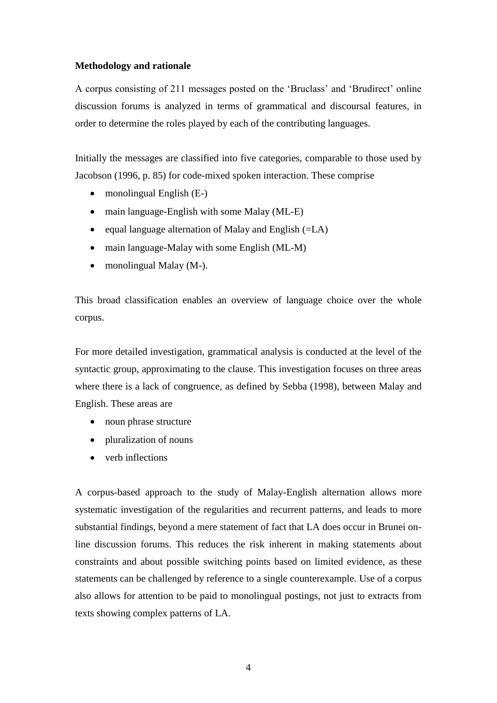### **Methodology and rationale**

A corpus consisting of 211 messages posted on the 'Bruclass' and 'Brudirect' online discussion forums is analyzed in terms of grammatical and discoursal features, in order to determine the roles played by each of the contributing languages.

Initially the messages are classified into five categories, comparable to those used by Jacobson (1996, p. 85) for code-mixed spoken interaction. These comprise

- monolingual English  $(E-)$
- main language-English with some Malay (ML-E)
- equal language alternation of Malay and English  $(=LA)$
- main language-Malay with some English (ML-M)
- monolingual Malay (M-).

This broad classification enables an overview of language choice over the whole corpus.

For more detailed investigation, grammatical analysis is conducted at the level of the syntactic group, approximating to the clause. This investigation focuses on three areas where there is a lack of congruence, as defined by Sebba (1998), between Malay and English. These areas are

- noun phrase structure
- pluralization of nouns
- verb inflections

A corpus-based approach to the study of Malay-English alternation allows more systematic investigation of the regularities and recurrent patterns, and leads to more substantial findings, beyond a mere statement of fact that LA does occur in Brunei online discussion forums. This reduces the risk inherent in making statements about constraints and about possible switching points based on limited evidence, as these statements can be challenged by reference to a single counterexample. Use of a corpus also allows for attention to be paid to monolingual postings, not just to extracts from texts showing complex patterns of LA.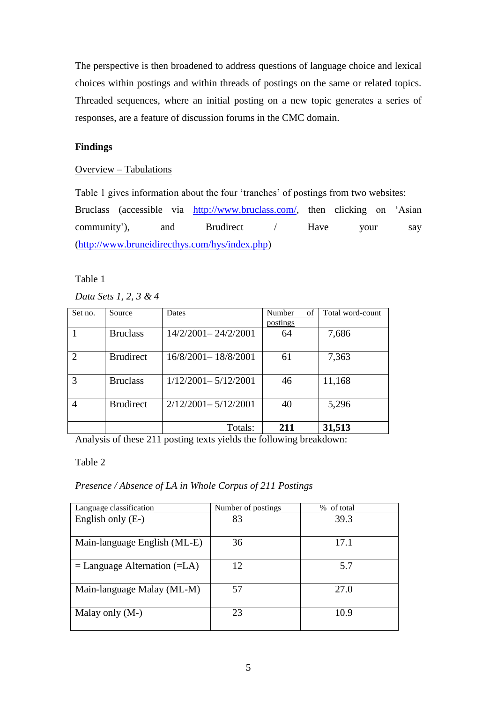The perspective is then broadened to address questions of language choice and lexical choices within postings and within threads of postings on the same or related topics. Threaded sequences, where an initial posting on a new topic generates a series of responses, are a feature of discussion forums in the CMC domain.

# **Findings**

# Overview – Tabulations

Table 1 gives information about the four 'tranches' of postings from two websites: Bruclass (accessible via [http://www.bruclass.com/,](http://www.bruclass.com/) then clicking on 'Asian community'), and Brudirect / Have your say [\(http://www.bruneidirecthys.com/hys/index.php\)](http://www.bruneidirecthys.com/hys/index.php)

# Table 1

# *Data Sets 1, 2, 3 & 4*

| Set no.                     | Source           | Dates                   | Number<br>of    | Total word-count |
|-----------------------------|------------------|-------------------------|-----------------|------------------|
|                             |                  |                         | <u>postings</u> |                  |
|                             | <b>Bruclass</b>  | 14/2/2001-24/2/2001     | 64              | 7,686            |
|                             |                  |                         |                 |                  |
| $\mathcal{D}_{\mathcal{L}}$ | <b>Brudirect</b> | 16/8/2001-18/8/2001     | 61              | 7,363            |
|                             |                  |                         |                 |                  |
| 3                           | <b>Bruclass</b>  | $1/12/2001 - 5/12/2001$ | 46              | 11,168           |
|                             |                  |                         |                 |                  |
|                             | <b>Brudirect</b> | $2/12/2001 - 5/12/2001$ | 40              | 5,296            |
|                             |                  |                         |                 |                  |
|                             |                  | Totals:                 | 211             | 31,513           |

Analysis of these 211 posting texts yields the following breakdown:

# Table 2

# *Presence / Absence of LA in Whole Corpus of 211 Postings*

| Language classification            | Number of postings | % of total |
|------------------------------------|--------------------|------------|
| English only (E-)                  | 83                 | 39.3       |
| Main-language English (ML-E)       | 36                 | 17.1       |
| $=$ Language Alternation ( $=LA$ ) | 12                 | 5.7        |
| Main-language Malay (ML-M)         | 57                 | 27.0       |
| Malay only (M-)                    | 23                 | 10.9       |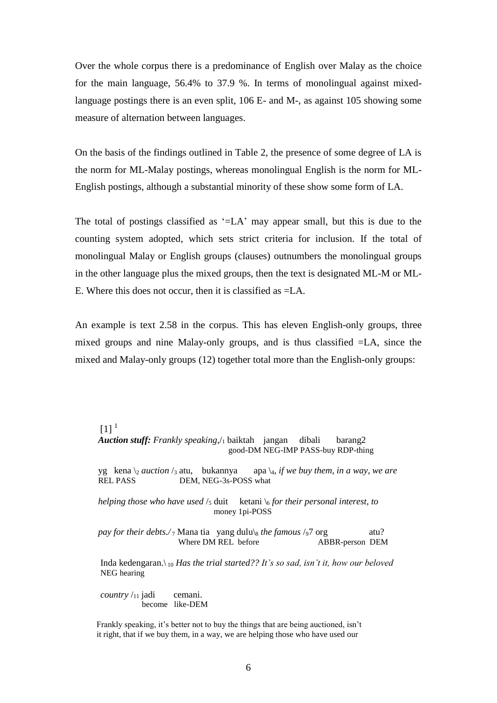Over the whole corpus there is a predominance of English over Malay as the choice for the main language, 56.4% to 37.9 %. In terms of monolingual against mixedlanguage postings there is an even split, 106 E- and M-, as against 105 showing some measure of alternation between languages.

On the basis of the findings outlined in Table 2, the presence of some degree of LA is the norm for ML-Malay postings, whereas monolingual English is the norm for ML-English postings, although a substantial minority of these show some form of LA.

The total of postings classified as '=LA' may appear small, but this is due to the counting system adopted, which sets strict criteria for inclusion. If the total of monolingual Malay or English groups (clauses) outnumbers the monolingual groups in the other language plus the mixed groups, then the text is designated ML-M or ML-E. Where this does not occur, then it is classified as =LA.

An example is text 2.58 in the corpus. This has eleven English-only groups, three mixed groups and nine Malay-only groups, and is thus classified =LA, since the mixed and Malay-only groups (12) together total more than the English-only groups:

#### $[1]$ <sup>1</sup>

 *Auction stuff: Frankly speaking*,/<sup>1</sup> baiktah jangan dibali barang2 good-DM NEG-IMP PASS-buy RDP-thing

yg kena  $\frac{1}{2}$  *auction* /<sub>3</sub> atu, bukannya apa  $\frac{1}{4}$ *, if we buy them, in a way, we are* **REL PASS** DEM, NEG-3s-POSS what

*helping those who have used*  $\frac{1}{5}$  duit ketani  $\frac{1}{6}$  *for their personal interest, to* money 1pi-POSS

*pay for their debts./* 7 Mana tia yang dulu\ $_8$  *the famous* / $\frac{1}{97}$  org atu? Where DM REL before ABBR-person DEM

 Inda kedengaran.\ <sup>10</sup> *Has the trial started?? It's so sad, isn't it, how our beloved* NEG hearing

*country* /<sub>11</sub> jadi cemani. become like-DEM

 Frankly speaking, it's better not to buy the things that are being auctioned, isn't it right, that if we buy them, in a way, we are helping those who have used our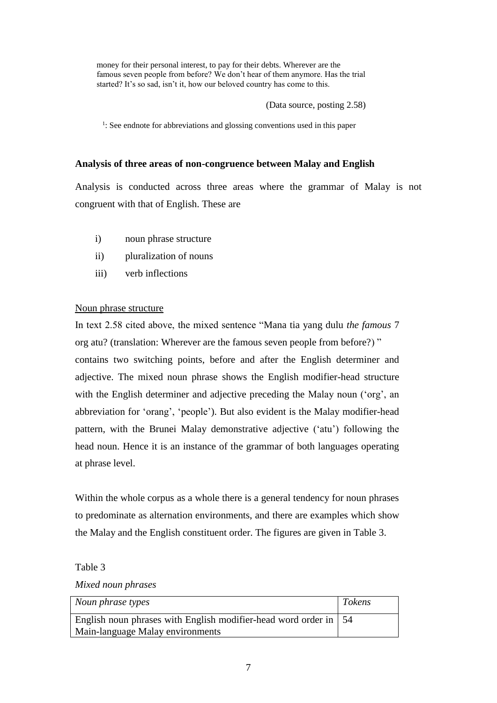money for their personal interest, to pay for their debts. Wherever are the famous seven people from before? We don't hear of them anymore. Has the trial started? It's so sad, isn't it, how our beloved country has come to this.

(Data source, posting 2.58)

<sup>1</sup>: See endnote for abbreviations and glossing conventions used in this paper

# **Analysis of three areas of non-congruence between Malay and English**

Analysis is conducted across three areas where the grammar of Malay is not congruent with that of English. These are

- i) noun phrase structure
- ii) pluralization of nouns
- iii) verb inflections

# Noun phrase structure

In text 2.58 cited above, the mixed sentence "Mana tia yang dulu *the famous* 7 org atu? (translation: Wherever are the famous seven people from before?) " contains two switching points, before and after the English determiner and adjective. The mixed noun phrase shows the English modifier-head structure with the English determiner and adjective preceding the Malay noun ('org', an abbreviation for 'orang', 'people'). But also evident is the Malay modifier-head pattern, with the Brunei Malay demonstrative adjective ('atu') following the head noun. Hence it is an instance of the grammar of both languages operating at phrase level.

Within the whole corpus as a whole there is a general tendency for noun phrases to predominate as alternation environments, and there are examples which show the Malay and the English constituent order. The figures are given in Table 3.

Table 3

*Mixed noun phrases*

| Noun phrase types                                                        | <b>Tokens</b> |
|--------------------------------------------------------------------------|---------------|
| English noun phrases with English modifier-head word order in $\vert$ 54 |               |
| Main-language Malay environments                                         |               |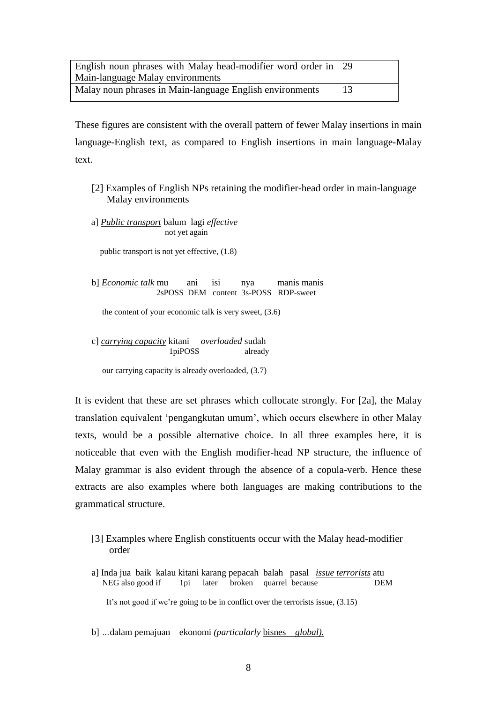| English noun phrases with Malay head-modifier word order in $\vert$ 29 |    |
|------------------------------------------------------------------------|----|
| Main-language Malay environments                                       |    |
| Malay noun phrases in Main-language English environments               | 13 |

These figures are consistent with the overall pattern of fewer Malay insertions in main language-English text, as compared to English insertions in main language-Malay text.

- [2] Examples of English NPs retaining the modifier-head order in main-language Malay environments
- a] *Public transport* balum lagi *effective* not yet again

public transport is not yet effective,  $(1.8)$ 

b] *Economic talk* mu ani isi nya manis manis 2sPOSS DEM content 3s-POSS RDP-sweet

the content of your economic talk is very sweet, (3.6)

c] *carrying capacity* kitani *overloaded* sudah 1piPOSS already

our carrying capacity is already overloaded, (3.7)

It is evident that these are set phrases which collocate strongly. For [2a], the Malay translation equivalent 'pengangkutan umum', which occurs elsewhere in other Malay texts, would be a possible alternative choice. In all three examples here, it is noticeable that even with the English modifier-head NP structure, the influence of Malay grammar is also evident through the absence of a copula-verb. Hence these extracts are also examples where both languages are making contributions to the grammatical structure.

- [3] Examples where English constituents occur with the Malay head-modifier order
- a] Inda jua baik kalau kitani karang pepacah balah pasal *issue terrorists* atu NEG also good if 1pi later broken quarrel because DEM

It's not good if we're going to be in conflict over the terrorists issue, (3.15)

b] *…*dalam pemajuan ekonomi *(particularly* bisnes *global).*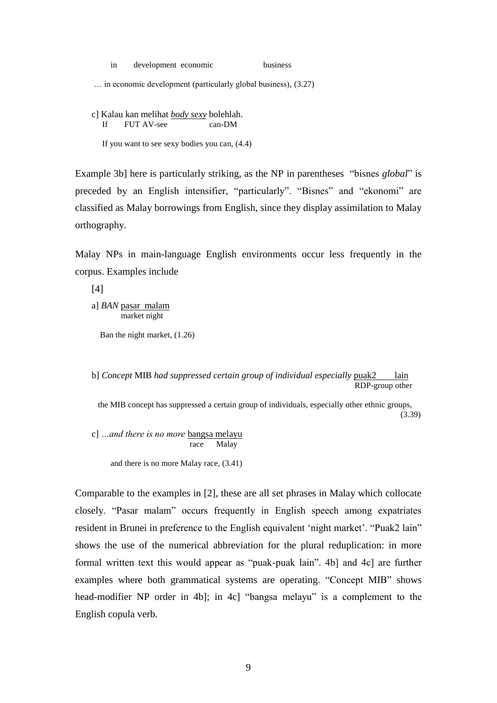|  | development economic |  |  | business |
|--|----------------------|--|--|----------|
|--|----------------------|--|--|----------|

… in economic development (particularly global business), (3.27)

c] Kalau kan melihat *body sexy* bolehlah. If FUT AV-see can-DM

If you want to see sexy bodies you can, (4.4)

Example 3b] here is particularly striking, as the NP in parentheses "bisnes *global*" is preceded by an English intensifier, "particularly". "Bisnes" and "ekonomi" are classified as Malay borrowings from English, since they display assimilation to Malay orthography.

Malay NPs in main-language English environments occur less frequently in the corpus. Examples include

[4]

a] *BAN* pasar malam market night

Ban the night market, (1.26)

b] *Concept* MIB *had suppressed certain group of individual especially* puak2 lain RDP-group other

 the MIB concept has suppressed a certain group of individuals, especially other ethnic groups,  $(3.39)$ 

c] *…and there is no more* bangsa melayu race Malay

and there is no more Malay race, (3.41)

Comparable to the examples in [2], these are all set phrases in Malay which collocate closely. "Pasar malam" occurs frequently in English speech among expatriates resident in Brunei in preference to the English equivalent 'night market'. "Puak2 lain" shows the use of the numerical abbreviation for the plural reduplication: in more formal written text this would appear as "puak-puak lain". 4b] and 4c] are further examples where both grammatical systems are operating. "Concept MIB" shows head-modifier NP order in 4b]; in 4c] "bangsa melayu" is a complement to the English copula verb.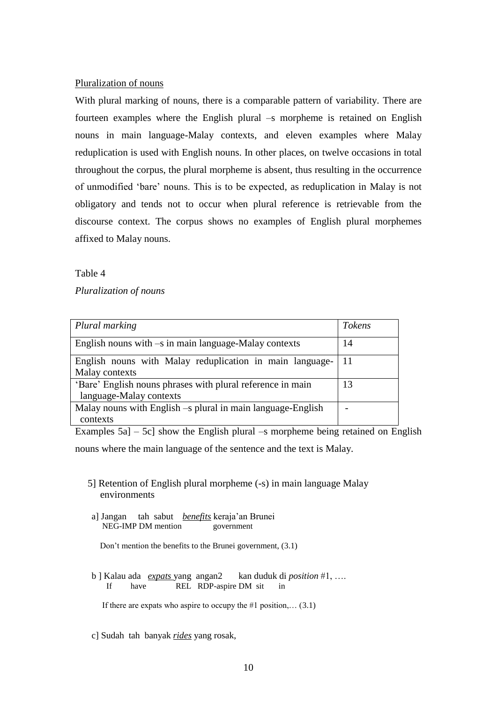### Pluralization of nouns

With plural marking of nouns, there is a comparable pattern of variability. There are fourteen examples where the English plural –s morpheme is retained on English nouns in main language-Malay contexts, and eleven examples where Malay reduplication is used with English nouns. In other places, on twelve occasions in total throughout the corpus, the plural morpheme is absent, thus resulting in the occurrence of unmodified 'bare' nouns. This is to be expected, as reduplication in Malay is not obligatory and tends not to occur when plural reference is retrievable from the discourse context. The corpus shows no examples of English plural morphemes affixed to Malay nouns.

Table 4

*Pluralization of nouns*

| Plural marking                                                 | <b>Tokens</b> |
|----------------------------------------------------------------|---------------|
| English nouns with $-s$ in main language-Malay contexts        | 14            |
| English nouns with Malay reduplication in main language-       | -11           |
| Malay contexts                                                 |               |
| 'Bare' English nouns phrases with plural reference in main     | 13            |
| language-Malay contexts                                        |               |
| Malay nouns with English $-$ s plural in main language-English |               |
| contexts                                                       |               |

Examples  $5a$ ] –  $5c$ ] show the English plural –s morpheme being retained on English nouns where the main language of the sentence and the text is Malay.

- 5] Retention of English plural morpheme (-s) in main language Malay environments
- a] Jangan tah sabut *benefits* keraja'an Brunei NEG-IMP DM mention government

Don't mention the benefits to the Brunei government, (3.1)

b ] Kalau ada *expats* yang angan2 kan duduk di *position* #1, …. If have REL RDP-aspire DM sit in

If there are expats who aspire to occupy the #1 position,...  $(3.1)$ 

c] Sudah tah banyak *rides* yang rosak,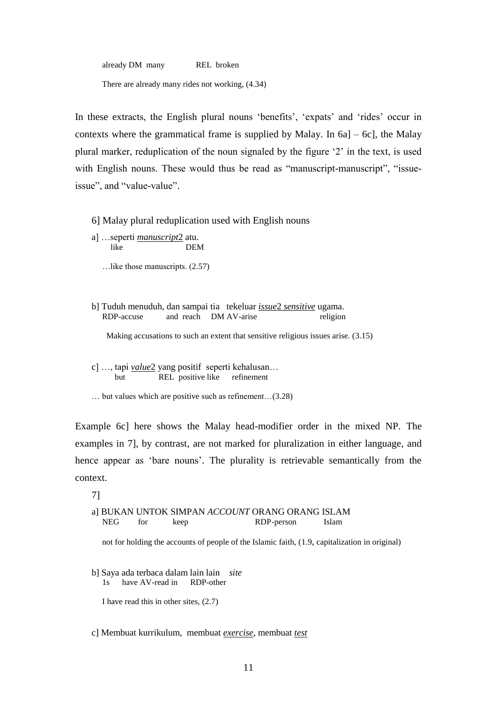already DM many REL broken

There are already many rides not working, (4.34)

In these extracts, the English plural nouns 'benefits', 'expats' and 'rides' occur in contexts where the grammatical frame is supplied by Malay. In 6a] – 6c], the Malay plural marker, reduplication of the noun signaled by the figure '2' in the text, is used with English nouns. These would thus be read as "manuscript-manuscript", "issueissue", and "value-value".

6] Malay plural reduplication used with English nouns

- a] …seperti *manuscript*2 atu. like DEM
	- …like those manuscripts. (2.57)
- b] Tuduh menuduh, dan sampai tia tekeluar *issue*2 *sensitive* ugama. RDP-accuse and reach DM AV-arise religion

Making accusations to such an extent that sensitive religious issues arise. (3.15)

- c] …, tapi *value*2 yang positif seperti kehalusan… but REL positive like refinement
- … but values which are positive such as refinement…(3.28)

Example 6c] here shows the Malay head-modifier order in the mixed NP. The examples in 7], by contrast, are not marked for pluralization in either language, and hence appear as 'bare nouns'. The plurality is retrievable semantically from the context.

7]

a] BUKAN UNTOK SIMPAN *ACCOUNT* ORANG ORANG ISLAM NEG for keep RDP-person Islam

not for holding the accounts of people of the Islamic faith, (1.9, capitalization in original)

b] Saya ada terbaca dalam lain lain *site* have AV-read in RDP-other

I have read this in other sites, (2.7)

#### c] Membuat kurrikulum, membuat *exercise*, membuat *test*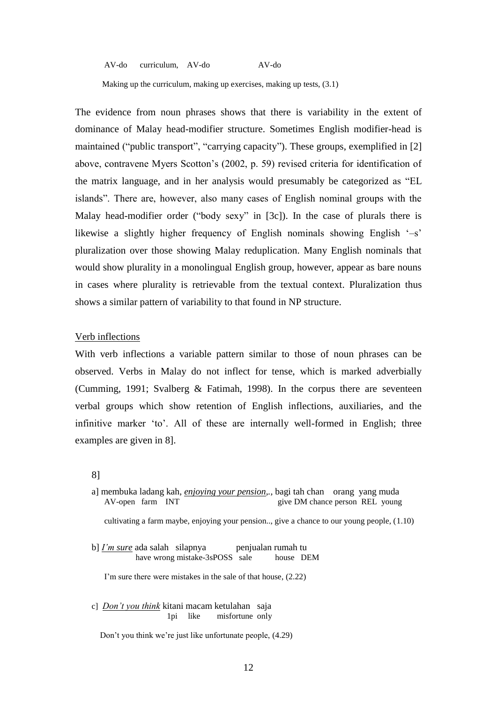AV-do curriculum, AV-do AV-do

Making up the curriculum, making up exercises, making up tests, (3.1)

The evidence from noun phrases shows that there is variability in the extent of dominance of Malay head-modifier structure. Sometimes English modifier-head is maintained ("public transport", "carrying capacity"). These groups, exemplified in [2] above, contravene Myers Scotton's (2002, p. 59) revised criteria for identification of the matrix language, and in her analysis would presumably be categorized as "EL islands". There are, however, also many cases of English nominal groups with the Malay head-modifier order ("body sexy" in [3c]). In the case of plurals there is likewise a slightly higher frequency of English nominals showing English '–s' pluralization over those showing Malay reduplication. Many English nominals that would show plurality in a monolingual English group, however, appear as bare nouns in cases where plurality is retrievable from the textual context. Pluralization thus shows a similar pattern of variability to that found in NP structure.

#### Verb inflections

With verb inflections a variable pattern similar to those of noun phrases can be observed. Verbs in Malay do not inflect for tense, which is marked adverbially (Cumming, 1991; Svalberg  $\&$  Fatimah, 1998). In the corpus there are seventeen verbal groups which show retention of English inflections, auxiliaries, and the infinitive marker 'to'. All of these are internally well-formed in English; three examples are given in 8].

8]

a] membuka ladang kah, *enjoying your pension,.,* bagi tah chan orang yang muda AV-open farm INT give DM chance person REL young

cultivating a farm maybe, enjoying your pension.., give a chance to our young people, (1.10)

b] *I'm sure* ada salah silapnya penjualan rumah tu have wrong mistake-3sPOSS sale house DEM

I'm sure there were mistakes in the sale of that house, (2.22)

c] *Don't you think* kitani macam ketulahan saja 1pi like misfortune only

Don't you think we're just like unfortunate people, (4.29)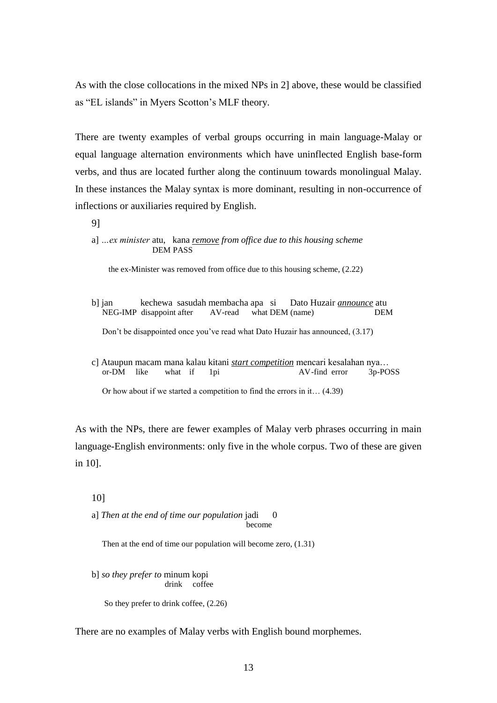As with the close collocations in the mixed NPs in 2] above, these would be classified as "EL islands" in Myers Scotton's MLF theory.

There are twenty examples of verbal groups occurring in main language-Malay or equal language alternation environments which have uninflected English base-form verbs, and thus are located further along the continuum towards monolingual Malay. In these instances the Malay syntax is more dominant, resulting in non-occurrence of inflections or auxiliaries required by English.

9]

a] *…ex minister* atu, kana *remove from office due to this housing scheme* DEM PASS

the ex-Minister was removed from office due to this housing scheme, (2.22)

- b] jan kechewa sasudah membacha apa si Dato Huzair *announce* atu NEG-IMP disappoint after AV-read what DEM (name) DEM Don't be disappointed once you've read what Dato Huzair has announced, (3.17)
- c] Ataupun macam mana kalau kitani *start competition* mencari kesalahan nya… or-DM like what if 1pi AV-find error 3p-POSS

Or how about if we started a competition to find the errors in it… (4.39)

As with the NPs, there are fewer examples of Malay verb phrases occurring in main language-English environments: only five in the whole corpus. Two of these are given in 10].

### 10]

a] *Then at the end of time our population* jadi 0 become

Then at the end of time our population will become zero, (1.31)

b] *so they prefer to* minum kopi drink coffee

So they prefer to drink coffee, (2.26)

There are no examples of Malay verbs with English bound morphemes.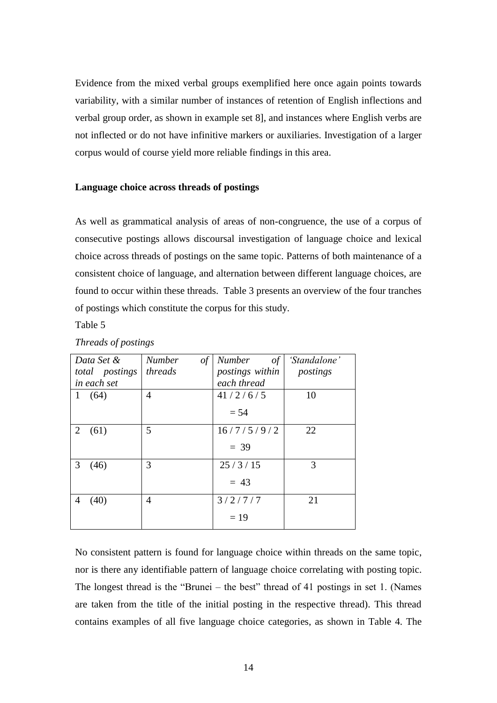Evidence from the mixed verbal groups exemplified here once again points towards variability, with a similar number of instances of retention of English inflections and verbal group order, as shown in example set 8], and instances where English verbs are not inflected or do not have infinitive markers or auxiliaries. Investigation of a larger corpus would of course yield more reliable findings in this area.

#### **Language choice across threads of postings**

As well as grammatical analysis of areas of non-congruence, the use of a corpus of consecutive postings allows discoursal investigation of language choice and lexical choice across threads of postings on the same topic. Patterns of both maintenance of a consistent choice of language, and alternation between different language choices, are found to occur within these threads. Table 3 presents an overview of the four tranches of postings which constitute the corpus for this study.

Table 5

| Data Set &           | <b>Number</b><br>$\iota$ | <i>Number</i><br>of | 'Standalone' |
|----------------------|--------------------------|---------------------|--------------|
| total postings       | threads                  | postings within     | postings     |
| in each set          |                          | each thread         |              |
| (64)<br>$\mathbf{1}$ | 4                        | 41/2/6/5            | 10           |
|                      |                          | $= 54$              |              |
| 2<br>(61)            | 5                        | 16/7/5/9/2          | 22           |
|                      |                          | $= 39$              |              |
| 3<br>(46)            | 3                        | 25/3/15             | 3            |
|                      |                          | $= 43$              |              |
| (40)<br>4            | 4                        | 3/2/7/7             | 21           |
|                      |                          | $= 19$              |              |

#### *Threads of postings*

No consistent pattern is found for language choice within threads on the same topic, nor is there any identifiable pattern of language choice correlating with posting topic. The longest thread is the "Brunei – the best" thread of 41 postings in set 1. (Names are taken from the title of the initial posting in the respective thread). This thread contains examples of all five language choice categories, as shown in Table 4. The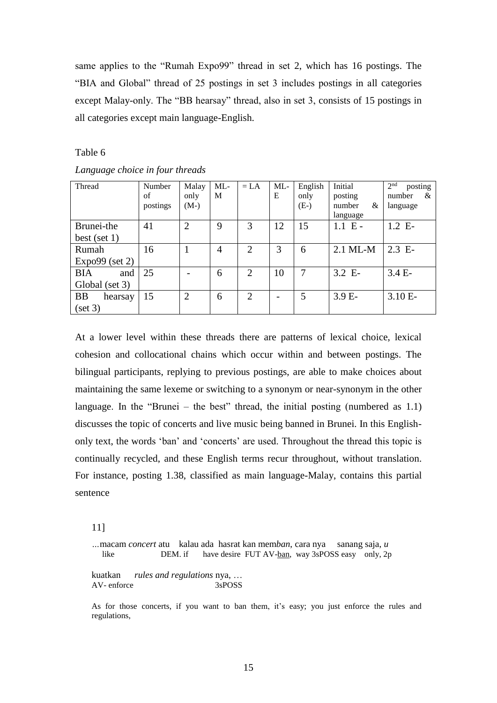same applies to the "Rumah Expo99" thread in set 2, which has 16 postings. The "BIA and Global" thread of 25 postings in set 3 includes postings in all categories except Malay-only. The "BB hearsay" thread, also in set 3, consists of 15 postings in all categories except main language-English.

Table 6

| Thread               | Number<br>of | Malay<br>only  | $ML$ -<br>M | $= LA$         | ML<br>E                  | English<br>only | Initial<br>posting      | 2 <sup>nd</sup><br>posting<br>number<br>& |
|----------------------|--------------|----------------|-------------|----------------|--------------------------|-----------------|-------------------------|-------------------------------------------|
|                      | postings     | $(M-)$         |             |                |                          | $(E-)$          | &<br>number<br>language | language                                  |
| Brunei-the           | 41           | $\overline{2}$ | 9           | 3              | 12                       | 15              | $1.1 \text{ E}$         | 1.2 E                                     |
| best (set $1$ )      |              |                |             |                |                          |                 |                         |                                           |
| Rumah                | 16           | 1              | 4           | $\overline{2}$ | 3                        | 6               | $2.1$ ML-M              | $2.3$ E-                                  |
| $Expo99$ (set 2)     |              |                |             |                |                          |                 |                         |                                           |
| <b>BIA</b><br>and    | 25           |                | 6           | $\overline{2}$ | 10                       | 7               | 3.2 E                   | $3.4 E-$                                  |
| Global (set 3)       |              |                |             |                |                          |                 |                         |                                           |
| <b>BB</b><br>hearsay | 15           | $\overline{2}$ | 6           | 2              | $\overline{\phantom{0}}$ | 5               | $3.9E-$                 | $3.10 E-$                                 |
| (set 3)              |              |                |             |                |                          |                 |                         |                                           |

*Language choice in four threads*

At a lower level within these threads there are patterns of lexical choice, lexical cohesion and collocational chains which occur within and between postings. The bilingual participants, replying to previous postings, are able to make choices about maintaining the same lexeme or switching to a synonym or near-synonym in the other language. In the "Brunei  $-$  the best" thread, the initial posting (numbered as 1.1) discusses the topic of concerts and live music being banned in Brunei. In this Englishonly text, the words 'ban' and 'concerts' are used. Throughout the thread this topic is continually recycled, and these English terms recur throughout, without translation. For instance, posting 1.38, classified as main language-Malay, contains this partial sentence

11]

*…*macam *concert* atu kalau ada hasrat kan mem*ban*, cara nya sanang saja, *u*  like DEM. if have desire FUT AV-ban, way 3sPOSS easy only, 2p

kuatkan *rules and regulations* nya, … AV- enforce 3sPOSS

As for those concerts, if you want to ban them, it's easy; you just enforce the rules and regulations,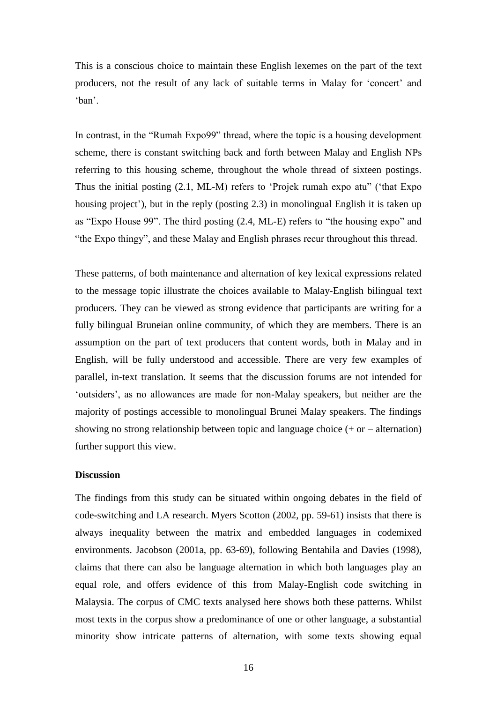This is a conscious choice to maintain these English lexemes on the part of the text producers, not the result of any lack of suitable terms in Malay for 'concert' and 'ban'.

In contrast, in the "Rumah Expo99" thread, where the topic is a housing development scheme, there is constant switching back and forth between Malay and English NPs referring to this housing scheme, throughout the whole thread of sixteen postings. Thus the initial posting (2.1, ML-M) refers to 'Projek rumah expo atu" ('that Expo housing project'), but in the reply (posting 2.3) in monolingual English it is taken up as "Expo House 99". The third posting (2.4, ML-E) refers to "the housing expo" and "the Expo thingy", and these Malay and English phrases recur throughout this thread.

These patterns, of both maintenance and alternation of key lexical expressions related to the message topic illustrate the choices available to Malay-English bilingual text producers. They can be viewed as strong evidence that participants are writing for a fully bilingual Bruneian online community, of which they are members. There is an assumption on the part of text producers that content words, both in Malay and in English, will be fully understood and accessible. There are very few examples of parallel, in-text translation. It seems that the discussion forums are not intended for 'outsiders', as no allowances are made for non-Malay speakers, but neither are the majority of postings accessible to monolingual Brunei Malay speakers. The findings showing no strong relationship between topic and language choice  $(+ or - alternation)$ further support this view.

### **Discussion**

The findings from this study can be situated within ongoing debates in the field of code-switching and LA research. Myers Scotton (2002, pp. 59-61) insists that there is always inequality between the matrix and embedded languages in codemixed environments. Jacobson (2001a, pp. 63-69), following Bentahila and Davies (1998), claims that there can also be language alternation in which both languages play an equal role, and offers evidence of this from Malay-English code switching in Malaysia. The corpus of CMC texts analysed here shows both these patterns. Whilst most texts in the corpus show a predominance of one or other language, a substantial minority show intricate patterns of alternation, with some texts showing equal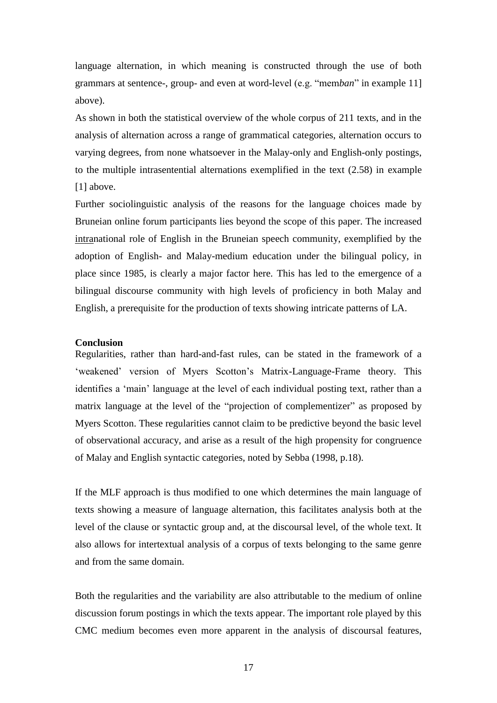language alternation, in which meaning is constructed through the use of both grammars at sentence-, group- and even at word-level (e.g. "mem*ban*" in example 11] above).

As shown in both the statistical overview of the whole corpus of 211 texts, and in the analysis of alternation across a range of grammatical categories, alternation occurs to varying degrees, from none whatsoever in the Malay-only and English-only postings, to the multiple intrasentential alternations exemplified in the text (2.58) in example [1] above.

Further sociolinguistic analysis of the reasons for the language choices made by Bruneian online forum participants lies beyond the scope of this paper. The increased intranational role of English in the Bruneian speech community, exemplified by the adoption of English- and Malay-medium education under the bilingual policy, in place since 1985, is clearly a major factor here. This has led to the emergence of a bilingual discourse community with high levels of proficiency in both Malay and English, a prerequisite for the production of texts showing intricate patterns of LA.

### **Conclusion**

Regularities, rather than hard-and-fast rules, can be stated in the framework of a 'weakened' version of Myers Scotton's Matrix-Language-Frame theory. This identifies a 'main' language at the level of each individual posting text, rather than a matrix language at the level of the "projection of complementizer" as proposed by Myers Scotton. These regularities cannot claim to be predictive beyond the basic level of observational accuracy, and arise as a result of the high propensity for congruence of Malay and English syntactic categories, noted by Sebba (1998, p.18).

If the MLF approach is thus modified to one which determines the main language of texts showing a measure of language alternation, this facilitates analysis both at the level of the clause or syntactic group and, at the discoursal level, of the whole text. It also allows for intertextual analysis of a corpus of texts belonging to the same genre and from the same domain.

Both the regularities and the variability are also attributable to the medium of online discussion forum postings in which the texts appear. The important role played by this CMC medium becomes even more apparent in the analysis of discoursal features,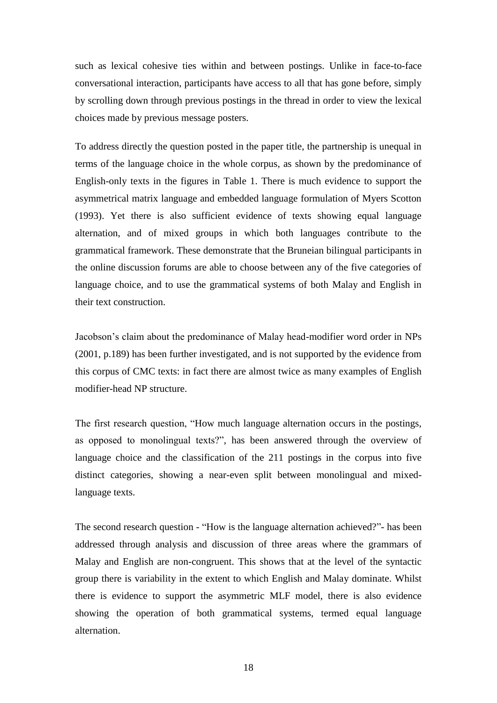such as lexical cohesive ties within and between postings. Unlike in face-to-face conversational interaction, participants have access to all that has gone before, simply by scrolling down through previous postings in the thread in order to view the lexical choices made by previous message posters.

To address directly the question posted in the paper title, the partnership is unequal in terms of the language choice in the whole corpus, as shown by the predominance of English-only texts in the figures in Table 1. There is much evidence to support the asymmetrical matrix language and embedded language formulation of Myers Scotton (1993). Yet there is also sufficient evidence of texts showing equal language alternation, and of mixed groups in which both languages contribute to the grammatical framework. These demonstrate that the Bruneian bilingual participants in the online discussion forums are able to choose between any of the five categories of language choice, and to use the grammatical systems of both Malay and English in their text construction.

Jacobson's claim about the predominance of Malay head-modifier word order in NPs (2001, p.189) has been further investigated, and is not supported by the evidence from this corpus of CMC texts: in fact there are almost twice as many examples of English modifier-head NP structure.

The first research question, "How much language alternation occurs in the postings, as opposed to monolingual texts?", has been answered through the overview of language choice and the classification of the 211 postings in the corpus into five distinct categories, showing a near-even split between monolingual and mixedlanguage texts.

The second research question - "How is the language alternation achieved?"- has been addressed through analysis and discussion of three areas where the grammars of Malay and English are non-congruent. This shows that at the level of the syntactic group there is variability in the extent to which English and Malay dominate. Whilst there is evidence to support the asymmetric MLF model, there is also evidence showing the operation of both grammatical systems, termed equal language alternation.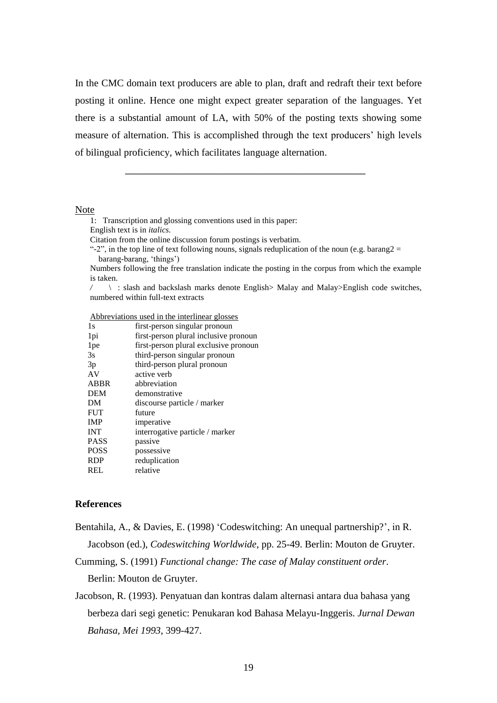In the CMC domain text producers are able to plan, draft and redraft their text before posting it online. Hence one might expect greater separation of the languages. Yet there is a substantial amount of LA, with 50% of the posting texts showing some measure of alternation. This is accomplished through the text producers' high levels of bilingual proficiency, which facilitates language alternation.

Note

1: Transcription and glossing conventions used in this paper:

 $\mathcal{L}_\text{max} = \frac{1}{2} \sum_{i=1}^n \frac{1}{2} \sum_{i=1}^n \frac{1}{2} \sum_{i=1}^n \frac{1}{2} \sum_{i=1}^n \frac{1}{2} \sum_{i=1}^n \frac{1}{2} \sum_{i=1}^n \frac{1}{2} \sum_{i=1}^n \frac{1}{2} \sum_{i=1}^n \frac{1}{2} \sum_{i=1}^n \frac{1}{2} \sum_{i=1}^n \frac{1}{2} \sum_{i=1}^n \frac{1}{2} \sum_{i=1}^n \frac{1}{2} \sum_{i=1}^n$ 

English text is in *italics.*

Citation from the online discussion forum postings is verbatim.

"-2", in the top line of text following nouns, signals reduplication of the noun (e.g. barang2 = barang-barang, 'things')

Numbers following the free translation indicate the posting in the corpus from which the example is taken.

*/* \ : slash and backslash marks denote English> Malay and Malay>English code switches, numbered within full-text extracts

Abbreviations used in the interlinear glosses

| first-person singular pronoun         |
|---------------------------------------|
| first-person plural inclusive pronoun |
| first-person plural exclusive pronoun |
| third-person singular pronoun         |
| third-person plural pronoun           |
|                                       |
|                                       |
|                                       |
| discourse particle / marker           |
|                                       |
|                                       |
| interrogative particle / marker       |
|                                       |
|                                       |
|                                       |
|                                       |
|                                       |

#### **References**

Bentahila, A., & Davies, E. (1998) 'Codeswitching: An unequal partnership?', in R. Jacobson (ed.), *Codeswitching Worldwide*, pp. 25-49. Berlin: Mouton de Gruyter.

Cumming, S. (1991) *Functional change: The case of Malay constituent order*.

Berlin: Mouton de Gruyter.

Jacobson, R. (1993). Penyatuan dan kontras dalam alternasi antara dua bahasa yang berbeza dari segi genetic: Penukaran kod Bahasa Melayu-Inggeris. *Jurnal Dewan Bahasa, Mei 1993*, 399-427.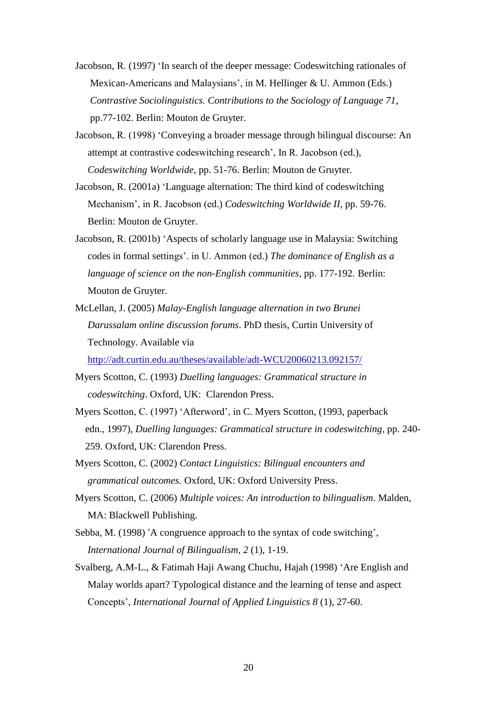- Jacobson, R. (1997) 'In search of the deeper message: Codeswitching rationales of Mexican-Americans and Malaysians', in M. Hellinger & U. Ammon (Eds.) *Contrastive Sociolinguistics. Contributions to the Sociology of Language 71*, pp.77-102. Berlin: Mouton de Gruyter.
- Jacobson, R. (1998) 'Conveying a broader message through bilingual discourse: An attempt at contrastive codeswitching research', In R. Jacobson (ed.), *Codeswitching Worldwide*, pp. 51-76. Berlin: Mouton de Gruyter.
- Jacobson, R. (2001a) 'Language alternation: The third kind of codeswitching Mechanism', in R. Jacobson (ed.) *Codeswitching Worldwide II,* pp. 59-76. Berlin: Mouton de Gruyter.
- Jacobson, R. (2001b) 'Aspects of scholarly language use in Malaysia: Switching codes in formal settings'. in U. Ammon (ed.) *The dominance of English as a language of science on the non-English communities*, pp. 177-192. Berlin: Mouton de Gruyter.
- McLellan, J. (2005) *Malay-English language alternation in two Brunei Darussalam online discussion forums*. PhD thesis, Curtin University of Technology. Available via

<http://adt.curtin.edu.au/theses/available/adt-WCU20060213.092157/>

- Myers Scotton, C. (1993) *Duelling languages: Grammatical structure in codeswitching*. Oxford, UK: Clarendon Press.
- Myers Scotton, C. (1997) 'Afterword', in C. Myers Scotton, (1993, paperback edn., 1997), *Duelling languages: Grammatical structure in codeswitching,* pp. 240- 259. Oxford, UK: Clarendon Press.
- Myers Scotton, C. (2002) *Contact Linguistics: Bilingual encounters and grammatical outcomes.* Oxford, UK: Oxford University Press.
- Myers Scotton, C. (2006) *Multiple voices: An introduction to bilingualism*. Malden, MA: Blackwell Publishing.
- Sebba, M. (1998) 'A congruence approach to the syntax of code switching', *International Journal of Bilingualism, 2* (1), 1-19.
- Svalberg, A.M-L., & Fatimah Haji Awang Chuchu, Hajah (1998) 'Are English and Malay worlds apart? Typological distance and the learning of tense and aspect Concepts', *International Journal of Applied Linguistics 8* (1), 27-60.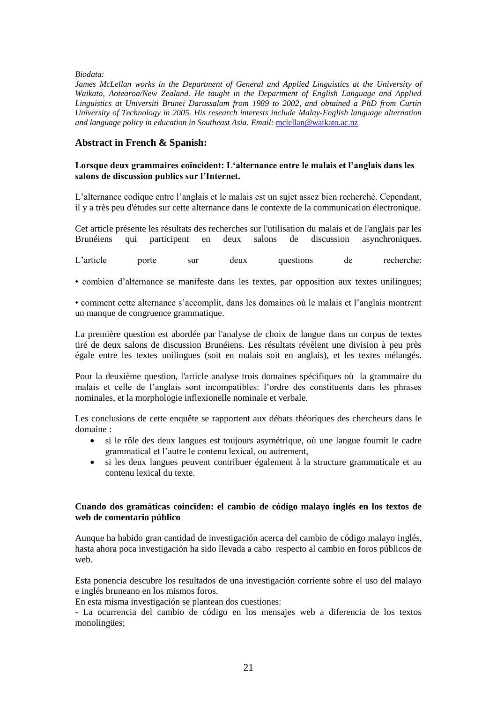*Biodata:*

James McLellan works in the Department of General and Applied Linguistics at the University of *Waikato, Aotearoa/New Zealand. He taught in the Department of English Language and Applied Linguistics at Universiti Brunei Darussalam from 1989 to 2002, and obtained a PhD from Curtin University of Technology in 2005. His research interests include Malay-English language alternation and language policy in education in Southeast Asia. Email:* [mclellan@waikato.ac.nz](mailto:mclellan@waikato.ac.nz)

### **Abstract in French & Spanish:**

#### **Lorsque deux grammaires coïncident: L'alternance entre le malais et l'anglais dans les salons de discussion publics sur l'Internet.**

L'alternance codique entre l'anglais et le malais est un sujet assez bien recherché. Cependant, il y a très peu d'études sur cette alternance dans le contexte de la communication électronique.

Cet article présente les résultats des recherches sur l'utilisation du malais et de l'anglais par les Brunéiens qui participent en deux salons de discussion asynchroniques.

L'article porte sur deux questions de recherche:

• combien d'alternance se manifeste dans les textes, par opposition aux textes unilingues;

• comment cette alternance s'accomplit, dans les domaines où le malais et l'anglais montrent un manque de congruence grammatique.

La première question est abordée par l'analyse de choix de langue dans un corpus de textes tiré de deux salons de discussion Brunéiens. Les résultats révèlent une division à peu près égale entre les textes unilingues (soit en malais soit en anglais), et les textes mélangés.

Pour la deuxième question, l'article analyse trois domaines spécifiques où la grammaire du malais et celle de l'anglais sont incompatibles: l'ordre des constituents dans les phrases nominales, et la morphologie inflexionelle nominale et verbale.

Les conclusions de cette enquête se rapportent aux débats théoriques des chercheurs dans le domaine :

- si le rôle des deux langues est toujours asymétrique, où une langue fournit le cadre grammatical et l'autre le contenu lexical, ou autrement,
- si les deux langues peuvent contribuer également à la structure grammaticale et au contenu lexical du texte.

### **Cuando dos gramáticas coinciden: el cambio de código malayo inglés en los textos de web de comentario público**

Aunque ha habido gran cantidad de investigación acerca del cambio de código malayo inglés, hasta ahora poca investigación ha sido llevada a cabo respecto al cambio en foros públicos de web.

Esta ponencia descubre los resultados de una investigación corriente sobre el uso del malayo e inglés bruneano en los mismos foros.

En esta misma investigación se plantean dos cuestiones:

- La ocurrencia del cambio de código en los mensajes web a diferencia de los textos monolingües;